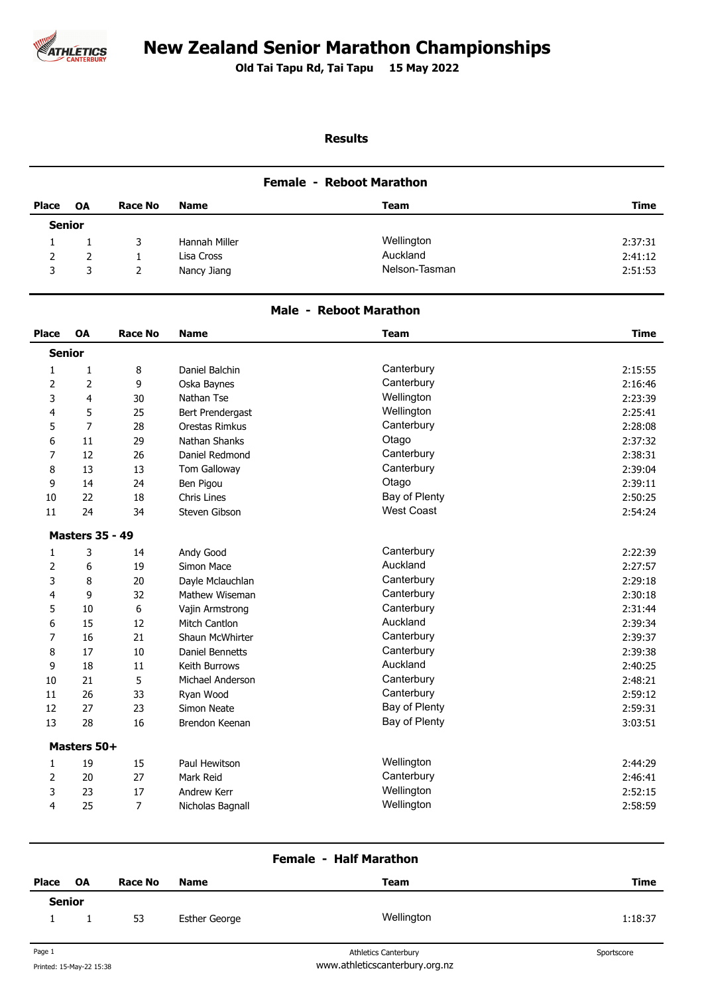

# **New Zealand Senior Marathon Championships**

**Old Tai Tapu Rd, Tai Tapu 15 May 2022 .** 

## **Results**

#### **Female - Reboot Marathon**

| <b>Place</b>  | <b>OA</b> | <b>Race No</b> | <b>Name</b>   | Team          | Time    |
|---------------|-----------|----------------|---------------|---------------|---------|
| <b>Senior</b> |           |                |               |               |         |
|               |           |                | Hannah Miller | Wellington    | 2:37:31 |
|               |           |                | Lisa Cross    | Auckland      | 2:41:12 |
| 3             |           |                | Nancy Jiang   | Nelson-Tasman | 2:51:53 |

#### **Male - Reboot Marathon**

| Place          | OA                     | <b>Race No</b> | <b>Name</b>            | <b>Team</b>       | <b>Time</b> |
|----------------|------------------------|----------------|------------------------|-------------------|-------------|
| <b>Senior</b>  |                        |                |                        |                   |             |
| 1              | $\mathbf{1}$           | 8              | Daniel Balchin         | Canterbury        | 2:15:55     |
| 2              | $\overline{2}$         | 9              | Oska Baynes            | Canterbury        | 2:16:46     |
| 3              | 4                      | 30             | Nathan Tse             | Wellington        | 2:23:39     |
| 4              | 5                      | 25             | Bert Prendergast       | Wellington        | 2:25:41     |
| 5              | 7                      | 28             | Orestas Rimkus         | Canterbury        | 2:28:08     |
| 6              | 11                     | 29             | Nathan Shanks          | Otago             | 2:37:32     |
| $\overline{7}$ | 12                     | 26             | Daniel Redmond         | Canterbury        | 2:38:31     |
| 8              | 13                     | 13             | Tom Galloway           | Canterbury        | 2:39:04     |
| 9              | 14                     | 24             | Ben Pigou              | Otago             | 2:39:11     |
| 10             | 22                     | 18             | Chris Lines            | Bay of Plenty     | 2:50:25     |
| 11             | 24                     | 34             | Steven Gibson          | <b>West Coast</b> | 2:54:24     |
|                | <b>Masters 35 - 49</b> |                |                        |                   |             |
| 1              | 3                      | 14             | Andy Good              | Canterbury        | 2:22:39     |
| 2              | 6                      | 19             | Simon Mace             | Auckland          | 2:27:57     |
| 3              | 8                      | 20             | Dayle Mclauchlan       | Canterbury        | 2:29:18     |
| 4              | 9                      | 32             | Mathew Wiseman         | Canterbury        | 2:30:18     |
| 5              | 10                     | 6              | Vajin Armstrong        | Canterbury        | 2:31:44     |
| 6              | 15                     | 12             | Mitch Cantlon          | Auckland          | 2:39:34     |
| 7              | 16                     | 21             | Shaun McWhirter        | Canterbury        | 2:39:37     |
| 8              | 17                     | 10             | <b>Daniel Bennetts</b> | Canterbury        | 2:39:38     |
| 9              | 18                     | 11             | Keith Burrows          | Auckland          | 2:40:25     |
| 10             | 21                     | 5              | Michael Anderson       | Canterbury        | 2:48:21     |
| 11             | 26                     | 33             | Ryan Wood              | Canterbury        | 2:59:12     |
| 12             | 27                     | 23             | Simon Neate            | Bay of Plenty     | 2:59:31     |
| 13             | 28                     | 16             | Brendon Keenan         | Bay of Plenty     | 3:03:51     |
|                | Masters 50+            |                |                        |                   |             |
| $\mathbf{1}$   | 19                     | 15             | Paul Hewitson          | Wellington        | 2:44:29     |
| 2              | 20                     | 27             | Mark Reid              | Canterbury        | 2:46:41     |
| 3              | 23                     | 17             | Andrew Kerr            | Wellington        | 2:52:15     |
| 4              | 25                     | $\overline{7}$ | Nicholas Bagnall       | Wellington        | 2:58:59     |

### **Female - Half Marathon**

| Place         | OA | Race No | <b>Name</b>   | Team       | Time    |
|---------------|----|---------|---------------|------------|---------|
| <b>Senior</b> |    |         |               |            |         |
|               |    | 53      | Esther George | Wellington | 1:18:37 |
|               |    |         |               |            |         |